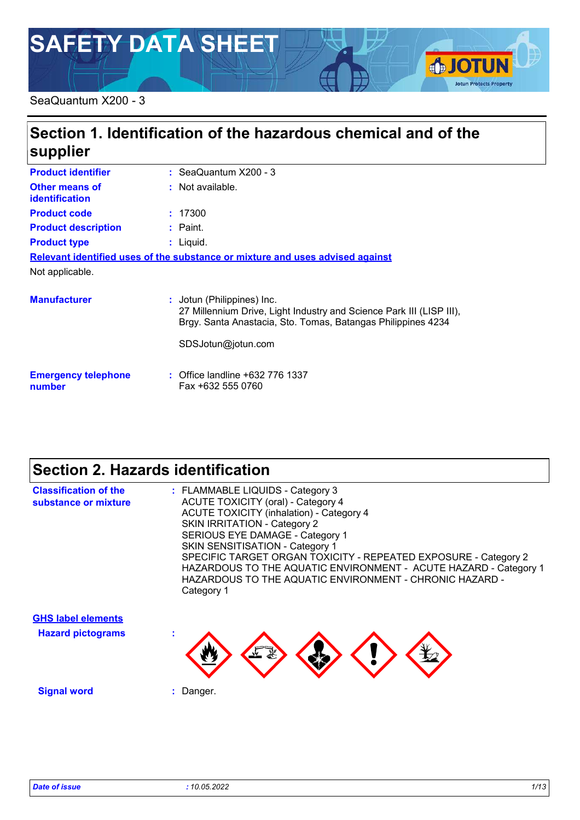# **SAFETY DATA SHEET**

#### SeaQuantum X200 - 3

# **Section 1. Identification of the hazardous chemical and of the supplier**

| <b>Product identifier</b>            | $:$ SeaQuantum X200 - 3                                                                                                                                                                  |
|--------------------------------------|------------------------------------------------------------------------------------------------------------------------------------------------------------------------------------------|
| Other means of<br>identification     | : Not available.                                                                                                                                                                         |
| <b>Product code</b>                  | : 17300                                                                                                                                                                                  |
| <b>Product description</b>           | : Paint.                                                                                                                                                                                 |
| <b>Product type</b>                  | : Liquid.                                                                                                                                                                                |
|                                      | Relevant identified uses of the substance or mixture and uses advised against                                                                                                            |
| Not applicable.                      |                                                                                                                                                                                          |
| <b>Manufacturer</b>                  | : Jotun (Philippines) Inc.<br>27 Millennium Drive, Light Industry and Science Park III (LISP III),<br>Brgy. Santa Anastacia, Sto. Tomas, Batangas Philippines 4234<br>SDSJotun@jotun.com |
| <b>Emergency telephone</b><br>number | : Office landline +632 776 1337<br>Fax +632 555 0760                                                                                                                                     |

# **Section 2. Hazards identification**

| <b>Classification of the</b><br>substance or mixture  | : FLAMMABLE LIQUIDS - Category 3<br><b>ACUTE TOXICITY (oral) - Category 4</b><br><b>ACUTE TOXICITY (inhalation) - Category 4</b><br>SKIN IRRITATION - Category 2<br>SERIOUS EYE DAMAGE - Category 1<br><b>SKIN SENSITISATION - Category 1</b><br>SPECIFIC TARGET ORGAN TOXICITY - REPEATED EXPOSURE - Category 2<br>HAZARDOUS TO THE AQUATIC ENVIRONMENT - ACUTE HAZARD - Category 1<br>HAZARDOUS TO THE AQUATIC ENVIRONMENT - CHRONIC HAZARD -<br>Category 1 |
|-------------------------------------------------------|---------------------------------------------------------------------------------------------------------------------------------------------------------------------------------------------------------------------------------------------------------------------------------------------------------------------------------------------------------------------------------------------------------------------------------------------------------------|
| <b>GHS label elements</b><br><b>Hazard pictograms</b> |                                                                                                                                                                                                                                                                                                                                                                                                                                                               |

**Signal word :** Danger.

**SJOTUN** 

**Jotun Protects Property**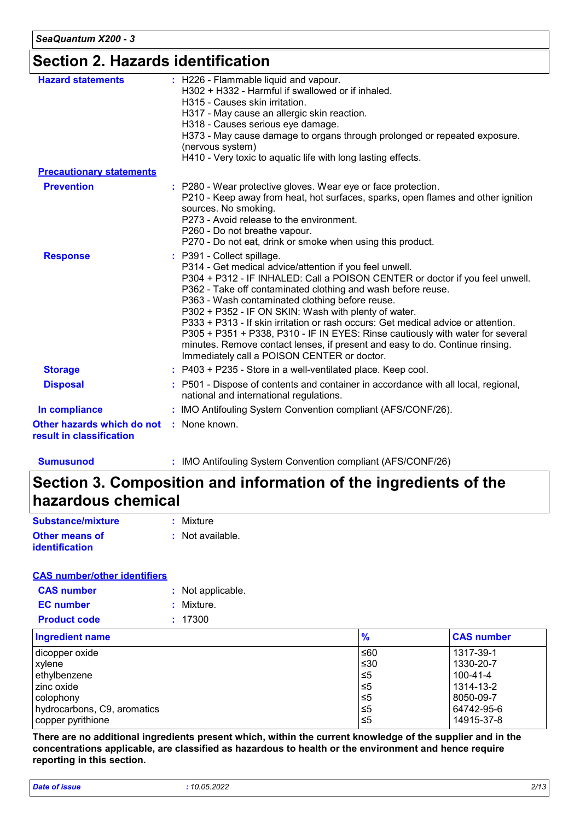## **Section 2. Hazards identification**

| : H226 - Flammable liquid and vapour.<br><b>Hazard statements</b><br>H302 + H332 - Harmful if swallowed or if inhaled.<br>H315 - Causes skin irritation.<br>H317 - May cause an allergic skin reaction.<br>H318 - Causes serious eye damage.<br>H373 - May cause damage to organs through prolonged or repeated exposure.<br>(nervous system)<br>H410 - Very toxic to aquatic life with long lasting effects.<br><b>Precautionary statements</b><br><b>Prevention</b><br>: P280 - Wear protective gloves. Wear eye or face protection.<br>P210 - Keep away from heat, hot surfaces, sparks, open flames and other ignition<br>sources. No smoking.<br>P273 - Avoid release to the environment.<br>P260 - Do not breathe vapour.<br>P270 - Do not eat, drink or smoke when using this product.<br>: P391 - Collect spillage.<br><b>Response</b><br>P314 - Get medical advice/attention if you feel unwell.<br>P304 + P312 - IF INHALED: Call a POISON CENTER or doctor if you feel unwell.<br>P362 - Take off contaminated clothing and wash before reuse.<br>P363 - Wash contaminated clothing before reuse.<br>P302 + P352 - IF ON SKIN: Wash with plenty of water.<br>P333 + P313 - If skin irritation or rash occurs: Get medical advice or attention.<br>P305 + P351 + P338, P310 - IF IN EYES: Rinse cautiously with water for several<br>minutes. Remove contact lenses, if present and easy to do. Continue rinsing.<br>Immediately call a POISON CENTER or doctor.<br>: P403 + P235 - Store in a well-ventilated place. Keep cool.<br><b>Storage</b><br><b>Disposal</b><br>: P501 - Dispose of contents and container in accordance with all local, regional,<br>national and international regulations.<br>: IMO Antifouling System Convention compliant (AFS/CONF/26).<br>In compliance<br>: None known.<br>Other hazards which do not |                          |  |
|--------------------------------------------------------------------------------------------------------------------------------------------------------------------------------------------------------------------------------------------------------------------------------------------------------------------------------------------------------------------------------------------------------------------------------------------------------------------------------------------------------------------------------------------------------------------------------------------------------------------------------------------------------------------------------------------------------------------------------------------------------------------------------------------------------------------------------------------------------------------------------------------------------------------------------------------------------------------------------------------------------------------------------------------------------------------------------------------------------------------------------------------------------------------------------------------------------------------------------------------------------------------------------------------------------------------------------------------------------------------------------------------------------------------------------------------------------------------------------------------------------------------------------------------------------------------------------------------------------------------------------------------------------------------------------------------------------------------------------------------------------------------------------------------------------------------------------------------------|--------------------------|--|
|                                                                                                                                                                                                                                                                                                                                                                                                                                                                                                                                                                                                                                                                                                                                                                                                                                                                                                                                                                                                                                                                                                                                                                                                                                                                                                                                                                                                                                                                                                                                                                                                                                                                                                                                                                                                                                                  |                          |  |
|                                                                                                                                                                                                                                                                                                                                                                                                                                                                                                                                                                                                                                                                                                                                                                                                                                                                                                                                                                                                                                                                                                                                                                                                                                                                                                                                                                                                                                                                                                                                                                                                                                                                                                                                                                                                                                                  |                          |  |
|                                                                                                                                                                                                                                                                                                                                                                                                                                                                                                                                                                                                                                                                                                                                                                                                                                                                                                                                                                                                                                                                                                                                                                                                                                                                                                                                                                                                                                                                                                                                                                                                                                                                                                                                                                                                                                                  |                          |  |
|                                                                                                                                                                                                                                                                                                                                                                                                                                                                                                                                                                                                                                                                                                                                                                                                                                                                                                                                                                                                                                                                                                                                                                                                                                                                                                                                                                                                                                                                                                                                                                                                                                                                                                                                                                                                                                                  |                          |  |
|                                                                                                                                                                                                                                                                                                                                                                                                                                                                                                                                                                                                                                                                                                                                                                                                                                                                                                                                                                                                                                                                                                                                                                                                                                                                                                                                                                                                                                                                                                                                                                                                                                                                                                                                                                                                                                                  |                          |  |
|                                                                                                                                                                                                                                                                                                                                                                                                                                                                                                                                                                                                                                                                                                                                                                                                                                                                                                                                                                                                                                                                                                                                                                                                                                                                                                                                                                                                                                                                                                                                                                                                                                                                                                                                                                                                                                                  |                          |  |
|                                                                                                                                                                                                                                                                                                                                                                                                                                                                                                                                                                                                                                                                                                                                                                                                                                                                                                                                                                                                                                                                                                                                                                                                                                                                                                                                                                                                                                                                                                                                                                                                                                                                                                                                                                                                                                                  |                          |  |
|                                                                                                                                                                                                                                                                                                                                                                                                                                                                                                                                                                                                                                                                                                                                                                                                                                                                                                                                                                                                                                                                                                                                                                                                                                                                                                                                                                                                                                                                                                                                                                                                                                                                                                                                                                                                                                                  | result in classification |  |

**Sumusunod :** IMO Antifouling System Convention compliant (AFS/CONF/26)

# **Section 3. Composition and information of the ingredients of the hazardous chemical**

| Substance/mixture                              | : Mixture        |
|------------------------------------------------|------------------|
| <b>Other means of</b><br><b>identification</b> | : Not available. |

#### **CAS number/other identifiers**

| <b>CAS number</b>   | : Not applicable. |
|---------------------|-------------------|
| <b>EC</b> number    | : Mixture.        |
| <b>Product code</b> | : 17300           |

| <b>Ingredient name</b>      | $\frac{9}{6}$ | <b>CAS number</b> |
|-----------------------------|---------------|-------------------|
| dicopper oxide              | ≤60           | 1317-39-1         |
| xylene                      | ≤30           | 1330-20-7         |
| ethylbenzene                | 1≤5           | 100-41-4          |
| zinc oxide                  | $\leq 5$      | 1314-13-2         |
| colophony                   | 5≤ا           | 8050-09-7         |
| hydrocarbons, C9, aromatics | $\leq 5$      | 64742-95-6        |
| copper pyrithione           | 1≤5           | 14915-37-8        |

**There are no additional ingredients present which, within the current knowledge of the supplier and in the concentrations applicable, are classified as hazardous to health or the environment and hence require reporting in this section.**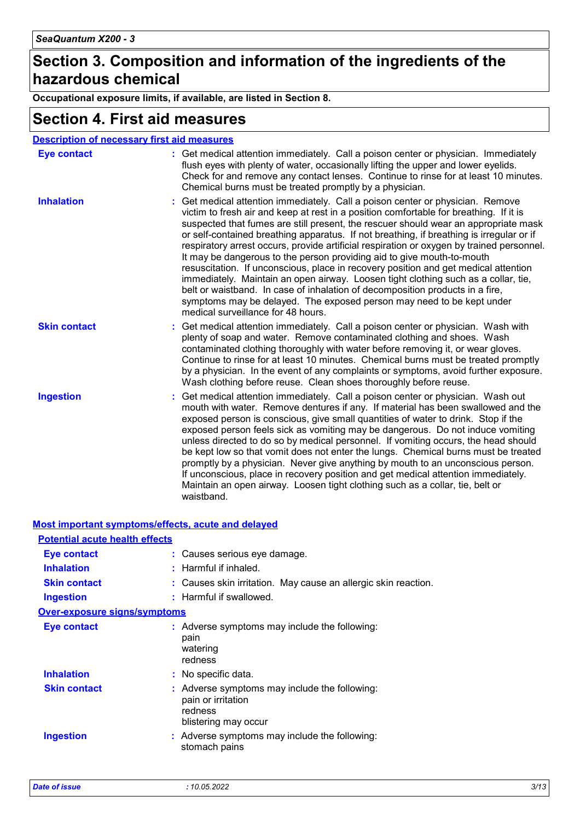### **Section 3. Composition and information of the ingredients of the hazardous chemical**

**Occupational exposure limits, if available, are listed in Section 8.**

### **Section 4. First aid measures**

| <b>Description of necessary first aid measures</b> |                                                                                                                                                                                                                                                                                                                                                                                                                                                                                                                                                                                                                                                                                                                                                                                                                                                                                                               |
|----------------------------------------------------|---------------------------------------------------------------------------------------------------------------------------------------------------------------------------------------------------------------------------------------------------------------------------------------------------------------------------------------------------------------------------------------------------------------------------------------------------------------------------------------------------------------------------------------------------------------------------------------------------------------------------------------------------------------------------------------------------------------------------------------------------------------------------------------------------------------------------------------------------------------------------------------------------------------|
| <b>Eye contact</b>                                 | : Get medical attention immediately. Call a poison center or physician. Immediately<br>flush eyes with plenty of water, occasionally lifting the upper and lower eyelids.<br>Check for and remove any contact lenses. Continue to rinse for at least 10 minutes.<br>Chemical burns must be treated promptly by a physician.                                                                                                                                                                                                                                                                                                                                                                                                                                                                                                                                                                                   |
| <b>Inhalation</b>                                  | Get medical attention immediately. Call a poison center or physician. Remove<br>victim to fresh air and keep at rest in a position comfortable for breathing. If it is<br>suspected that fumes are still present, the rescuer should wear an appropriate mask<br>or self-contained breathing apparatus. If not breathing, if breathing is irregular or if<br>respiratory arrest occurs, provide artificial respiration or oxygen by trained personnel.<br>It may be dangerous to the person providing aid to give mouth-to-mouth<br>resuscitation. If unconscious, place in recovery position and get medical attention<br>immediately. Maintain an open airway. Loosen tight clothing such as a collar, tie,<br>belt or waistband. In case of inhalation of decomposition products in a fire,<br>symptoms may be delayed. The exposed person may need to be kept under<br>medical surveillance for 48 hours. |
| <b>Skin contact</b>                                | Get medical attention immediately. Call a poison center or physician. Wash with<br>plenty of soap and water. Remove contaminated clothing and shoes. Wash<br>contaminated clothing thoroughly with water before removing it, or wear gloves.<br>Continue to rinse for at least 10 minutes. Chemical burns must be treated promptly<br>by a physician. In the event of any complaints or symptoms, avoid further exposure.<br>Wash clothing before reuse. Clean shoes thoroughly before reuse.                                                                                                                                                                                                                                                                                                                                                                                                                 |
| <b>Ingestion</b>                                   | Get medical attention immediately. Call a poison center or physician. Wash out<br>mouth with water. Remove dentures if any. If material has been swallowed and the<br>exposed person is conscious, give small quantities of water to drink. Stop if the<br>exposed person feels sick as vomiting may be dangerous. Do not induce vomiting<br>unless directed to do so by medical personnel. If vomiting occurs, the head should<br>be kept low so that vomit does not enter the lungs. Chemical burns must be treated<br>promptly by a physician. Never give anything by mouth to an unconscious person.<br>If unconscious, place in recovery position and get medical attention immediately.<br>Maintain an open airway. Loosen tight clothing such as a collar, tie, belt or<br>waistband.                                                                                                                  |

#### **Most important symptoms/effects, acute and delayed**

| <b>Potential acute health effects</b> |                                                                                                        |
|---------------------------------------|--------------------------------------------------------------------------------------------------------|
| <b>Eye contact</b>                    | : Causes serious eye damage.                                                                           |
| <b>Inhalation</b>                     | : Harmful if inhaled.                                                                                  |
| <b>Skin contact</b>                   | : Causes skin irritation. May cause an allergic skin reaction.                                         |
| <b>Ingestion</b>                      | : Harmful if swallowed.                                                                                |
| <b>Over-exposure signs/symptoms</b>   |                                                                                                        |
| <b>Eye contact</b>                    | : Adverse symptoms may include the following:<br>pain<br>watering<br>redness                           |
| <b>Inhalation</b>                     | : No specific data.                                                                                    |
| <b>Skin contact</b>                   | : Adverse symptoms may include the following:<br>pain or irritation<br>redness<br>blistering may occur |
| <b>Ingestion</b>                      | $:$ Adverse symptoms may include the following:<br>stomach pains                                       |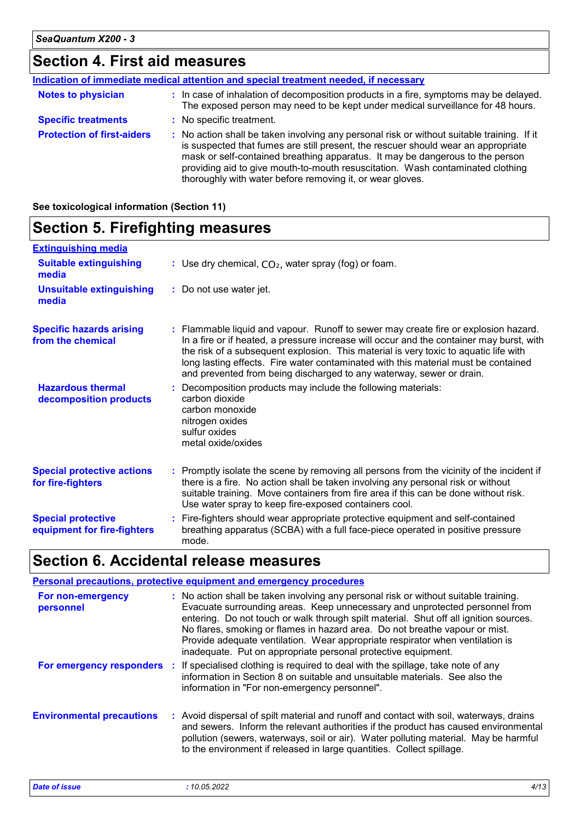### **Section 4. First aid measures**

|                                   | Indication of immediate medical attention and special treatment needed, if necessary                                                                                                                                                                                                                                                                                                                            |
|-----------------------------------|-----------------------------------------------------------------------------------------------------------------------------------------------------------------------------------------------------------------------------------------------------------------------------------------------------------------------------------------------------------------------------------------------------------------|
| <b>Notes to physician</b>         | : In case of inhalation of decomposition products in a fire, symptoms may be delayed.<br>The exposed person may need to be kept under medical surveillance for 48 hours.                                                                                                                                                                                                                                        |
| <b>Specific treatments</b>        | : No specific treatment.                                                                                                                                                                                                                                                                                                                                                                                        |
| <b>Protection of first-aiders</b> | : No action shall be taken involving any personal risk or without suitable training. If it<br>is suspected that fumes are still present, the rescuer should wear an appropriate<br>mask or self-contained breathing apparatus. It may be dangerous to the person<br>providing aid to give mouth-to-mouth resuscitation. Wash contaminated clothing<br>thoroughly with water before removing it, or wear gloves. |

#### **Section 5. Firefighting measures** Promptly isolate the scene by removing all persons from the vicinity of the incident if **:** there is a fire. No action shall be taken involving any personal risk or without suitable training. Move containers from fire area if this can be done without risk. Use water spray to keep fire-exposed containers cool. **Hazardous thermal decomposition products Specific hazards arising from the chemical** Decomposition products may include the following materials: **:** carbon dioxide carbon monoxide nitrogen oxides sulfur oxides metal oxide/oxides Flammable liquid and vapour. Runoff to sewer may create fire or explosion hazard. **:** In a fire or if heated, a pressure increase will occur and the container may burst, with the risk of a subsequent explosion. This material is very toxic to aquatic life with long lasting effects. Fire water contaminated with this material must be contained and prevented from being discharged to any waterway, sewer or drain. Fire-fighters should wear appropriate protective equipment and self-contained **:** breathing apparatus (SCBA) with a full face-piece operated in positive pressure mode. **Special protective equipment for fire-fighters** Use dry chemical, CO₂, water spray (fog) or foam. **: Extinguishing media :** Do not use water jet. **Suitable extinguishing media Unsuitable extinguishing media Special protective actions for fire-fighters**

### **Section 6. Accidental release measures**

|                                  | <b>Personal precautions, protective equipment and emergency procedures</b>                                                                                                                                                                                                                                                                                                                                                                                                                    |
|----------------------------------|-----------------------------------------------------------------------------------------------------------------------------------------------------------------------------------------------------------------------------------------------------------------------------------------------------------------------------------------------------------------------------------------------------------------------------------------------------------------------------------------------|
| For non-emergency<br>personnel   | : No action shall be taken involving any personal risk or without suitable training.<br>Evacuate surrounding areas. Keep unnecessary and unprotected personnel from<br>entering. Do not touch or walk through spilt material. Shut off all ignition sources.<br>No flares, smoking or flames in hazard area. Do not breathe vapour or mist.<br>Provide adequate ventilation. Wear appropriate respirator when ventilation is<br>inadequate. Put on appropriate personal protective equipment. |
|                                  | For emergency responders : If specialised clothing is required to deal with the spillage, take note of any<br>information in Section 8 on suitable and unsuitable materials. See also the<br>information in "For non-emergency personnel".                                                                                                                                                                                                                                                    |
| <b>Environmental precautions</b> | : Avoid dispersal of spilt material and runoff and contact with soil, waterways, drains<br>and sewers. Inform the relevant authorities if the product has caused environmental<br>pollution (sewers, waterways, soil or air). Water polluting material. May be harmful<br>to the environment if released in large quantities. Collect spillage.                                                                                                                                               |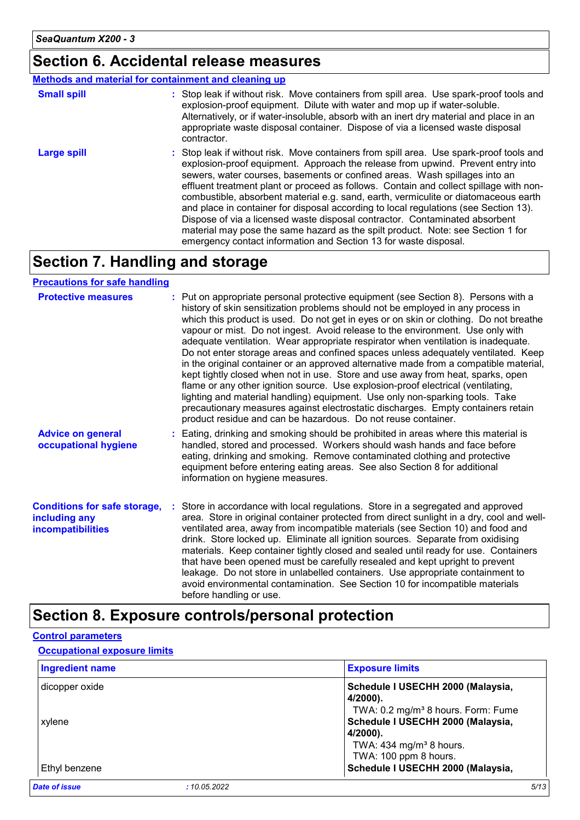### **Section 6. Accidental release measures**

#### **Methods and material for containment and cleaning up**

| <b>Small spill</b> | : Stop leak if without risk. Move containers from spill area. Use spark-proof tools and<br>explosion-proof equipment. Dilute with water and mop up if water-soluble.<br>Alternatively, or if water-insoluble, absorb with an inert dry material and place in an<br>appropriate waste disposal container. Dispose of via a licensed waste disposal<br>contractor.                                                                                                                                                                                                                                                                                                                                                                                                        |
|--------------------|-------------------------------------------------------------------------------------------------------------------------------------------------------------------------------------------------------------------------------------------------------------------------------------------------------------------------------------------------------------------------------------------------------------------------------------------------------------------------------------------------------------------------------------------------------------------------------------------------------------------------------------------------------------------------------------------------------------------------------------------------------------------------|
| <b>Large spill</b> | : Stop leak if without risk. Move containers from spill area. Use spark-proof tools and<br>explosion-proof equipment. Approach the release from upwind. Prevent entry into<br>sewers, water courses, basements or confined areas. Wash spillages into an<br>effluent treatment plant or proceed as follows. Contain and collect spillage with non-<br>combustible, absorbent material e.g. sand, earth, vermiculite or diatomaceous earth<br>and place in container for disposal according to local regulations (see Section 13).<br>Dispose of via a licensed waste disposal contractor. Contaminated absorbent<br>material may pose the same hazard as the spilt product. Note: see Section 1 for<br>emergency contact information and Section 13 for waste disposal. |

## **Section 7. Handling and storage**

#### **Precautions for safe handling**

| <b>Protective measures</b>                                                       | : Put on appropriate personal protective equipment (see Section 8). Persons with a<br>history of skin sensitization problems should not be employed in any process in<br>which this product is used. Do not get in eyes or on skin or clothing. Do not breathe<br>vapour or mist. Do not ingest. Avoid release to the environment. Use only with<br>adequate ventilation. Wear appropriate respirator when ventilation is inadequate.<br>Do not enter storage areas and confined spaces unless adequately ventilated. Keep<br>in the original container or an approved alternative made from a compatible material,<br>kept tightly closed when not in use. Store and use away from heat, sparks, open<br>flame or any other ignition source. Use explosion-proof electrical (ventilating,<br>lighting and material handling) equipment. Use only non-sparking tools. Take<br>precautionary measures against electrostatic discharges. Empty containers retain<br>product residue and can be hazardous. Do not reuse container. |
|----------------------------------------------------------------------------------|---------------------------------------------------------------------------------------------------------------------------------------------------------------------------------------------------------------------------------------------------------------------------------------------------------------------------------------------------------------------------------------------------------------------------------------------------------------------------------------------------------------------------------------------------------------------------------------------------------------------------------------------------------------------------------------------------------------------------------------------------------------------------------------------------------------------------------------------------------------------------------------------------------------------------------------------------------------------------------------------------------------------------------|
| <b>Advice on general</b><br>occupational hygiene                                 | : Eating, drinking and smoking should be prohibited in areas where this material is<br>handled, stored and processed. Workers should wash hands and face before<br>eating, drinking and smoking. Remove contaminated clothing and protective<br>equipment before entering eating areas. See also Section 8 for additional<br>information on hygiene measures.                                                                                                                                                                                                                                                                                                                                                                                                                                                                                                                                                                                                                                                                   |
| <b>Conditions for safe storage,</b><br>including any<br><b>incompatibilities</b> | Store in accordance with local regulations. Store in a segregated and approved<br>area. Store in original container protected from direct sunlight in a dry, cool and well-<br>ventilated area, away from incompatible materials (see Section 10) and food and<br>drink. Store locked up. Eliminate all ignition sources. Separate from oxidising<br>materials. Keep container tightly closed and sealed until ready for use. Containers<br>that have been opened must be carefully resealed and kept upright to prevent<br>leakage. Do not store in unlabelled containers. Use appropriate containment to<br>avoid environmental contamination. See Section 10 for incompatible materials<br>before handling or use.                                                                                                                                                                                                                                                                                                           |

## **Section 8. Exposure controls/personal protection**

#### **Control parameters**

#### **Occupational exposure limits**

| <b>Ingredient name</b>       | <b>Exposure limits</b>                         |
|------------------------------|------------------------------------------------|
| dicopper oxide               | Schedule I USECHH 2000 (Malaysia,<br>4/2000).  |
|                              | TWA: 0.2 mg/m <sup>3</sup> 8 hours. Form: Fume |
| xylene                       | Schedule I USECHH 2000 (Malaysia,              |
|                              | 4/2000).                                       |
|                              | TWA: $434$ mg/m <sup>3</sup> 8 hours.          |
|                              | TWA: 100 ppm 8 hours.                          |
| Ethyl benzene                | Schedule I USECHH 2000 (Malaysia,              |
| Date of issue<br>:10.05.2022 | 5/13                                           |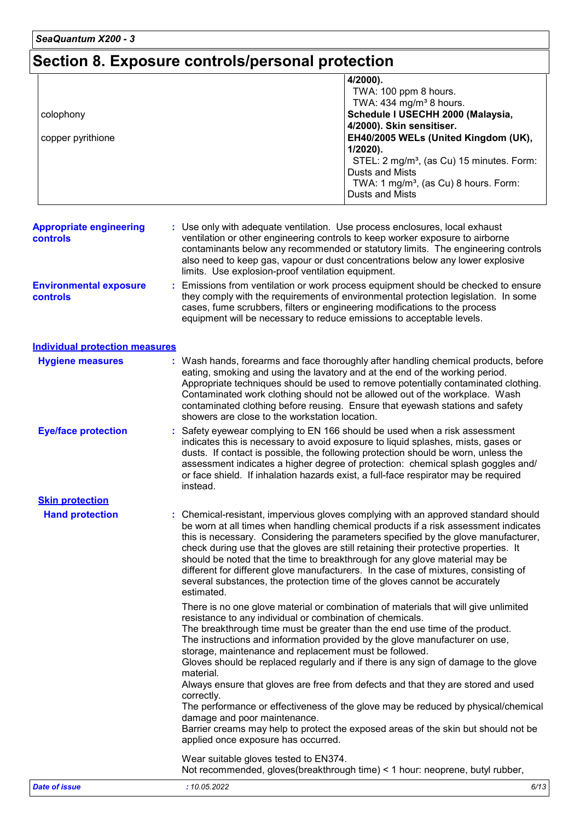# **Section 8. Exposure controls/personal protection**

|                   | 4/2000).                                              |
|-------------------|-------------------------------------------------------|
|                   | TWA: 100 ppm 8 hours.                                 |
|                   | TWA: $434$ mg/m <sup>3</sup> 8 hours.                 |
| colophony         | Schedule I USECHH 2000 (Malaysia,                     |
|                   | 4/2000). Skin sensitiser.                             |
| copper pyrithione | EH40/2005 WELs (United Kingdom (UK),                  |
|                   | $1/2020$ ).                                           |
|                   | STEL: 2 mg/m <sup>3</sup> , (as Cu) 15 minutes. Form: |
|                   | Dusts and Mists                                       |
|                   | TWA: 1 mg/m <sup>3</sup> , (as Cu) 8 hours. Form:     |
|                   | <b>Dusts and Mists</b>                                |

| <b>Appropriate engineering</b><br><b>controls</b> | : Use only with adequate ventilation. Use process enclosures, local exhaust<br>ventilation or other engineering controls to keep worker exposure to airborne<br>contaminants below any recommended or statutory limits. The engineering controls<br>also need to keep gas, vapour or dust concentrations below any lower explosive<br>limits. Use explosion-proof ventilation equipment. |
|---------------------------------------------------|------------------------------------------------------------------------------------------------------------------------------------------------------------------------------------------------------------------------------------------------------------------------------------------------------------------------------------------------------------------------------------------|
| <b>Environmental exposure</b><br><b>controls</b>  | : Emissions from ventilation or work process equipment should be checked to ensure<br>they comply with the requirements of environmental protection legislation. In some<br>cases, fume scrubbers, filters or engineering modifications to the process<br>equipment will be necessary to reduce emissions to acceptable levels.                                                          |

#### **Individual protection measures**

| <b>Hygiene measures</b>    | : Wash hands, forearms and face thoroughly after handling chemical products, before<br>eating, smoking and using the lavatory and at the end of the working period.<br>Appropriate techniques should be used to remove potentially contaminated clothing.<br>Contaminated work clothing should not be allowed out of the workplace. Wash<br>contaminated clothing before reusing. Ensure that eyewash stations and safety<br>showers are close to the workstation location.                                                                                                                                               |  |  |
|----------------------------|---------------------------------------------------------------------------------------------------------------------------------------------------------------------------------------------------------------------------------------------------------------------------------------------------------------------------------------------------------------------------------------------------------------------------------------------------------------------------------------------------------------------------------------------------------------------------------------------------------------------------|--|--|
| <b>Eye/face protection</b> | Safety eyewear complying to EN 166 should be used when a risk assessment<br>indicates this is necessary to avoid exposure to liquid splashes, mists, gases or<br>dusts. If contact is possible, the following protection should be worn, unless the<br>assessment indicates a higher degree of protection: chemical splash goggles and/<br>or face shield. If inhalation hazards exist, a full-face respirator may be required<br>instead.                                                                                                                                                                                |  |  |
| <b>Skin protection</b>     |                                                                                                                                                                                                                                                                                                                                                                                                                                                                                                                                                                                                                           |  |  |
| <b>Hand protection</b>     | : Chemical-resistant, impervious gloves complying with an approved standard should<br>be worn at all times when handling chemical products if a risk assessment indicates<br>this is necessary. Considering the parameters specified by the glove manufacturer,<br>check during use that the gloves are still retaining their protective properties. It<br>should be noted that the time to breakthrough for any glove material may be<br>different for different glove manufacturers. In the case of mixtures, consisting of<br>several substances, the protection time of the gloves cannot be accurately<br>estimated. |  |  |
|                            | There is no one glove material or combination of materials that will give unlimited<br>resistance to any individual or combination of chemicals.<br>The breakthrough time must be greater than the end use time of the product.<br>The instructions and information provided by the glove manufacturer on use,<br>storage, maintenance and replacement must be followed.<br>Gloves should be replaced regularly and if there is any sign of damage to the glove<br>material.                                                                                                                                              |  |  |
|                            | Always ensure that gloves are free from defects and that they are stored and used<br>correctly.<br>The performance or effectiveness of the glove may be reduced by physical/chemical                                                                                                                                                                                                                                                                                                                                                                                                                                      |  |  |
|                            | damage and poor maintenance.<br>Barrier creams may help to protect the exposed areas of the skin but should not be<br>applied once exposure has occurred.                                                                                                                                                                                                                                                                                                                                                                                                                                                                 |  |  |
|                            | Wear suitable gloves tested to EN374.<br>Not recommended, gloves (breakthrough time) < 1 hour: neoprene, butyl rubber,                                                                                                                                                                                                                                                                                                                                                                                                                                                                                                    |  |  |
| <b>Date of issue</b>       | : 10.05.2022<br>6/13                                                                                                                                                                                                                                                                                                                                                                                                                                                                                                                                                                                                      |  |  |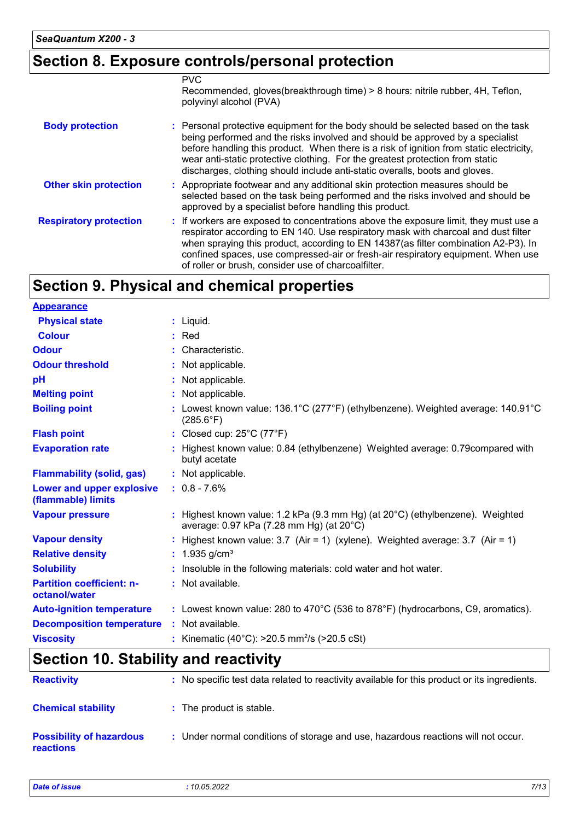## **Section 8. Exposure controls/personal protection**

|                               | <b>PVC</b><br>Recommended, gloves(breakthrough time) > 8 hours: nitrile rubber, 4H, Teflon,<br>polyvinyl alcohol (PVA)                                                                                                                                                                                                                                                                                                        |
|-------------------------------|-------------------------------------------------------------------------------------------------------------------------------------------------------------------------------------------------------------------------------------------------------------------------------------------------------------------------------------------------------------------------------------------------------------------------------|
| <b>Body protection</b>        | : Personal protective equipment for the body should be selected based on the task<br>being performed and the risks involved and should be approved by a specialist<br>before handling this product. When there is a risk of ignition from static electricity,<br>wear anti-static protective clothing. For the greatest protection from static<br>discharges, clothing should include anti-static overalls, boots and gloves. |
| <b>Other skin protection</b>  | : Appropriate footwear and any additional skin protection measures should be<br>selected based on the task being performed and the risks involved and should be<br>approved by a specialist before handling this product.                                                                                                                                                                                                     |
| <b>Respiratory protection</b> | : If workers are exposed to concentrations above the exposure limit, they must use a<br>respirator according to EN 140. Use respiratory mask with charcoal and dust filter<br>when spraying this product, according to EN 14387(as filter combination A2-P3). In<br>confined spaces, use compressed-air or fresh-air respiratory equipment. When use<br>of roller or brush, consider use of charcoalfilter.                   |

# **Section 9. Physical and chemical properties**

| <b>Appearance</b>                                 |                                                                                                                                       |
|---------------------------------------------------|---------------------------------------------------------------------------------------------------------------------------------------|
| <b>Physical state</b>                             | $:$ Liquid.                                                                                                                           |
| <b>Colour</b>                                     | $:$ Red                                                                                                                               |
| <b>Odour</b>                                      | : Characteristic.                                                                                                                     |
| <b>Odour threshold</b>                            | : Not applicable.                                                                                                                     |
| pH                                                | : Not applicable.                                                                                                                     |
| <b>Melting point</b>                              | : Not applicable.                                                                                                                     |
| <b>Boiling point</b>                              | : Lowest known value: $136.1^{\circ}$ C (277 $^{\circ}$ F) (ethylbenzene). Weighted average: $140.91^{\circ}$ C<br>$(285.6^{\circ}F)$ |
| <b>Flash point</b>                                | : Closed cup: 25°C (77°F)                                                                                                             |
| <b>Evaporation rate</b>                           | : Highest known value: 0.84 (ethylbenzene) Weighted average: 0.79 compared with<br>butyl acetate                                      |
| <b>Flammability (solid, gas)</b>                  | : Not applicable.                                                                                                                     |
| Lower and upper explosive<br>(flammable) limits   | $: 0.8 - 7.6\%$                                                                                                                       |
| <b>Vapour pressure</b>                            | : Highest known value: 1.2 kPa (9.3 mm Hg) (at $20^{\circ}$ C) (ethylbenzene). Weighted<br>average: 0.97 kPa (7.28 mm Hg) (at 20°C)   |
| <b>Vapour density</b>                             | : Highest known value: $3.7$ (Air = 1) (xylene). Weighted average: $3.7$ (Air = 1)                                                    |
| <b>Relative density</b>                           | : $1.935$ g/cm <sup>3</sup>                                                                                                           |
| <b>Solubility</b>                                 | : Insoluble in the following materials: cold water and hot water.                                                                     |
| <b>Partition coefficient: n-</b><br>octanol/water | : Not available.                                                                                                                      |
| <b>Auto-ignition temperature</b>                  | : Lowest known value: 280 to $470^{\circ}$ C (536 to 878 $^{\circ}$ F) (hydrocarbons, C9, aromatics).                                 |
| <b>Decomposition temperature</b>                  | : Not available.                                                                                                                      |
| <b>Viscosity</b>                                  | : Kinematic (40°C): $>20.5$ mm <sup>2</sup> /s ( $>20.5$ cSt)                                                                         |

# **Section 10. Stability and reactivity**

| <b>Reactivity</b>                                   | : No specific test data related to reactivity available for this product or its ingredients. |
|-----------------------------------------------------|----------------------------------------------------------------------------------------------|
| <b>Chemical stability</b>                           | : The product is stable.                                                                     |
| <b>Possibility of hazardous</b><br><b>reactions</b> | : Under normal conditions of storage and use, hazardous reactions will not occur.            |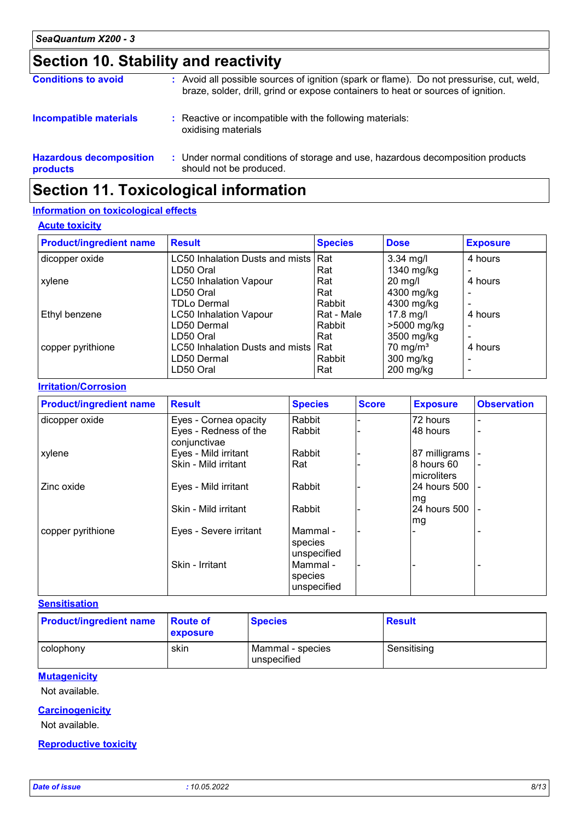# **Section 10. Stability and reactivity**

| <b>Conditions to avoid</b>                 | : Avoid all possible sources of ignition (spark or flame). Do not pressurise, cut, weld,<br>braze, solder, drill, grind or expose containers to heat or sources of ignition. |
|--------------------------------------------|------------------------------------------------------------------------------------------------------------------------------------------------------------------------------|
| <b>Incompatible materials</b>              | : Reactive or incompatible with the following materials:<br>oxidising materials                                                                                              |
| <b>Hazardous decomposition</b><br>products | : Under normal conditions of storage and use, hazardous decomposition products<br>should not be produced.                                                                    |

# **Section 11. Toxicological information**

#### **Information on toxicological effects**

#### **Acute toxicity**

| <b>Product/ingredient name</b> | <b>Result</b>                       | <b>Species</b> | <b>Dose</b>         | <b>Exposure</b>          |
|--------------------------------|-------------------------------------|----------------|---------------------|--------------------------|
| dicopper oxide                 | LC50 Inhalation Dusts and mists Rat |                | $3.34$ mg/l         | 4 hours                  |
|                                | LD50 Oral                           | Rat            | 1340 mg/kg          |                          |
| xylene                         | <b>LC50 Inhalation Vapour</b>       | Rat            | $20$ mg/l           | 4 hours                  |
|                                | LD50 Oral                           | Rat            | 4300 mg/kg          |                          |
|                                | <b>TDLo Dermal</b>                  | Rabbit         | 4300 mg/kg          |                          |
| Ethyl benzene                  | <b>LC50 Inhalation Vapour</b>       | Rat - Male     | $17.8$ mg/l         | 4 hours                  |
|                                | LD50 Dermal                         | Rabbit         | >5000 mg/kg         | $\overline{\phantom{0}}$ |
|                                | LD50 Oral                           | Rat            | 3500 mg/kg          |                          |
| copper pyrithione              | LC50 Inhalation Dusts and mists Rat |                | $70 \text{ mg/m}^3$ | 4 hours                  |
|                                | LD50 Dermal                         | Rabbit         | 300 mg/kg           |                          |
|                                | LD50 Oral                           | Rat            | $200$ mg/kg         |                          |

#### **Irritation/Corrosion**

| <b>Product/ingredient name</b> | <b>Result</b>                         | <b>Species</b>                     | <b>Score</b> | <b>Exposure</b>            | <b>Observation</b> |
|--------------------------------|---------------------------------------|------------------------------------|--------------|----------------------------|--------------------|
| dicopper oxide                 | Eyes - Cornea opacity                 | Rabbit                             |              | 72 hours                   | -                  |
|                                | Eyes - Redness of the<br>conjunctivae | Rabbit                             |              | 48 hours                   | -                  |
| xylene                         | Eyes - Mild irritant                  | Rabbit                             |              | 87 milligrams              |                    |
|                                | Skin - Mild irritant                  | Rat                                |              | l8 hours 60<br>microliters |                    |
| Zinc oxide                     | Eyes - Mild irritant                  | Rabbit                             |              | 24 hours 500<br>mg         |                    |
|                                | Skin - Mild irritant                  | Rabbit                             |              | 24 hours 500<br>mg         |                    |
| copper pyrithione              | Eyes - Severe irritant                | Mammal -<br>species<br>unspecified |              |                            |                    |
|                                | Skin - Irritant                       | Mammal -<br>species<br>unspecified |              |                            |                    |

#### **Sensitisation**

| <b>Product/ingredient name</b> | <b>Route of</b><br>exposure | <b>Species</b>                  | <b>Result</b> |
|--------------------------------|-----------------------------|---------------------------------|---------------|
| colophony                      | skin                        | Mammal - species<br>unspecified | Sensitising   |

#### **Mutagenicity**

Not available.

#### **Carcinogenicity**

Not available.

#### **Reproductive toxicity**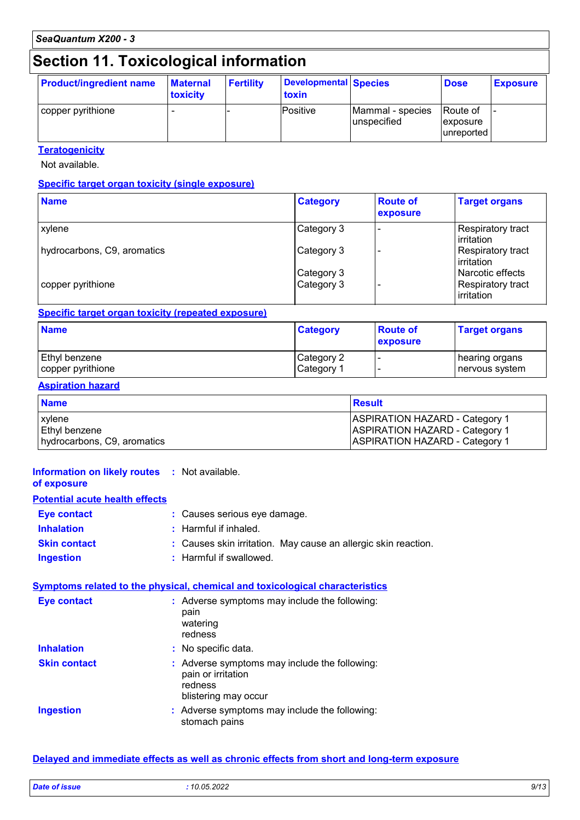# **Section 11. Toxicological information**

| <b>Product/ingredient name</b> | <b>Maternal</b><br>toxicity | <b>Fertility</b> | <b>Developmental Species</b><br>toxin |                                 | <b>Dose</b>                           | <b>Exposure</b> |
|--------------------------------|-----------------------------|------------------|---------------------------------------|---------------------------------|---------------------------------------|-----------------|
| copper pyrithione              |                             |                  | Positive                              | Mammal - species<br>unspecified | lRoute of<br> exposure <br>unreported | -               |

#### **Teratogenicity**

Not available.

#### **Specific target organ toxicity (single exposure)**

| <b>Name</b>                 | <b>Category</b> | <b>Route of</b><br>exposure | <b>Target organs</b>                     |
|-----------------------------|-----------------|-----------------------------|------------------------------------------|
| <b>xylene</b>               | Category 3      |                             | Respiratory tract<br><b>l</b> irritation |
| hydrocarbons, C9, aromatics | Category 3      |                             | Respiratory tract<br>lirritation         |
|                             | Category 3      |                             | Narcotic effects                         |
| copper pyrithione           | Category 3      |                             | Respiratory tract<br>irritation          |

#### **Specific target organ toxicity (repeated exposure)**

| <b>Name</b>          | <b>Category</b> | <b>Route of</b><br>exposure | <b>Target organs</b> |
|----------------------|-----------------|-----------------------------|----------------------|
| <b>Ethyl benzene</b> | Category 2      |                             | hearing organs       |
| copper pyrithione    | Category 1      |                             | nervous system       |

#### **Aspiration hazard**

| <b>Name</b>                 | Result                                |
|-----------------------------|---------------------------------------|
| xylene                      | <b>ASPIRATION HAZARD - Category 1</b> |
| Ethyl benzene               | <b>ASPIRATION HAZARD - Category 1</b> |
| hydrocarbons, C9, aromatics | <b>ASPIRATION HAZARD - Category 1</b> |

#### **Information on likely routes :** Not available.

#### **of exposure**

### **Potential acute health effects**

| Eye contact         | : Causes serious eye damage.                                   |  |  |
|---------------------|----------------------------------------------------------------|--|--|
| <b>Inhalation</b>   | : Harmful if inhaled.                                          |  |  |
| <b>Skin contact</b> | : Causes skin irritation. May cause an allergic skin reaction. |  |  |
| <b>Ingestion</b>    | : Harmful if swallowed.                                        |  |  |

#### **Symptoms related to the physical, chemical and toxicological characteristics**

| <b>Eye contact</b>  | : Adverse symptoms may include the following:<br>pain<br>watering<br>redness                           |
|---------------------|--------------------------------------------------------------------------------------------------------|
| <b>Inhalation</b>   | : No specific data.                                                                                    |
| <b>Skin contact</b> | : Adverse symptoms may include the following:<br>pain or irritation<br>redness<br>blistering may occur |
| <b>Ingestion</b>    | : Adverse symptoms may include the following:<br>stomach pains                                         |

#### **Delayed and immediate effects as well as chronic effects from short and long-term exposure**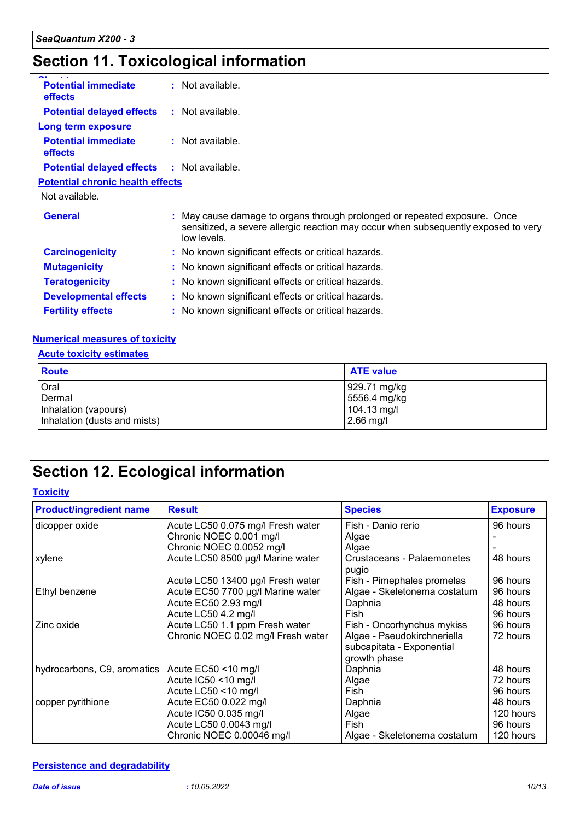# **Section 11. Toxicological information**

| <b>Potential immediate</b><br>effects        | : Not available.                                                                                                                                                               |  |
|----------------------------------------------|--------------------------------------------------------------------------------------------------------------------------------------------------------------------------------|--|
| <b>Potential delayed effects</b>             | : Not available.                                                                                                                                                               |  |
| <b>Long term exposure</b>                    |                                                                                                                                                                                |  |
| <b>Potential immediate</b><br><b>effects</b> | : Not available.                                                                                                                                                               |  |
| <b>Potential delayed effects</b>             | : Not available.                                                                                                                                                               |  |
| <b>Potential chronic health effects</b>      |                                                                                                                                                                                |  |
| Not available.                               |                                                                                                                                                                                |  |
| <b>General</b>                               | : May cause damage to organs through prolonged or repeated exposure. Once<br>sensitized, a severe allergic reaction may occur when subsequently exposed to very<br>low levels. |  |
| <b>Carcinogenicity</b>                       | : No known significant effects or critical hazards.                                                                                                                            |  |
| <b>Mutagenicity</b>                          | : No known significant effects or critical hazards.                                                                                                                            |  |
| <b>Teratogenicity</b>                        | : No known significant effects or critical hazards.                                                                                                                            |  |
| <b>Developmental effects</b>                 | : No known significant effects or critical hazards.                                                                                                                            |  |
| <b>Fertility effects</b>                     | : No known significant effects or critical hazards.                                                                                                                            |  |
|                                              |                                                                                                                                                                                |  |

#### **Numerical measures of toxicity**

#### **Acute toxicity estimates**

| <b>Route</b>                 | <b>ATE value</b> |
|------------------------------|------------------|
| Oral                         | 929.71 mg/kg     |
| Dermal                       | 5556.4 mg/kg     |
| Inhalation (vapours)         | $104.13$ mg/l    |
| Inhalation (dusts and mists) | $2.66$ mg/l      |

# **Section 12. Ecological information**

#### **Toxicity**

| <b>Product/ingredient name</b> | <b>Result</b>                      | <b>Species</b>                      | <b>Exposure</b> |
|--------------------------------|------------------------------------|-------------------------------------|-----------------|
| dicopper oxide                 | Acute LC50 0.075 mg/l Fresh water  | Fish - Danio rerio                  | 96 hours        |
|                                | Chronic NOEC 0.001 mg/l            | Algae                               |                 |
|                                | Chronic NOEC 0.0052 mg/l           | Algae                               |                 |
| xylene                         | Acute LC50 8500 µg/l Marine water  | Crustaceans - Palaemonetes<br>pugio | 48 hours        |
|                                | Acute LC50 13400 µg/l Fresh water  | Fish - Pimephales promelas          | 96 hours        |
| Ethyl benzene                  | Acute EC50 7700 µg/l Marine water  | Algae - Skeletonema costatum        | 96 hours        |
|                                | Acute EC50 2.93 mg/l               | Daphnia                             | 48 hours        |
|                                | Acute LC50 4.2 mg/l                | Fish                                | 96 hours        |
| Zinc oxide                     | Acute LC50 1.1 ppm Fresh water     | Fish - Oncorhynchus mykiss          | 96 hours        |
|                                | Chronic NOEC 0.02 mg/l Fresh water | Algae - Pseudokirchneriella         | 72 hours        |
|                                |                                    | subcapitata - Exponential           |                 |
|                                |                                    | growth phase                        |                 |
| hydrocarbons, C9, aromatics    | Acute EC50 <10 mg/l                | Daphnia                             | 48 hours        |
|                                | Acute IC50 <10 mg/l                | Algae                               | 72 hours        |
|                                | Acute LC50 <10 mg/l                | Fish                                | 96 hours        |
| copper pyrithione              | Acute EC50 0.022 mg/l              | Daphnia                             | 48 hours        |
|                                | Acute IC50 0.035 mg/l              | Algae                               | 120 hours       |
|                                | Acute LC50 0.0043 mg/l             | Fish                                | 96 hours        |
|                                | Chronic NOEC 0.00046 mg/l          | Algae - Skeletonema costatum        | 120 hours       |

#### **Persistence and degradability**

| <b>Dat</b><br>and the second second second to the second second to the second second to the second second to the second second second to the second second second second second second second second second second second second second seco<br>$  -$<br>. | 2000<br>$204-$<br>. | .<br>יש י |
|------------------------------------------------------------------------------------------------------------------------------------------------------------------------------------------------------------------------------------------------------------|---------------------|-----------|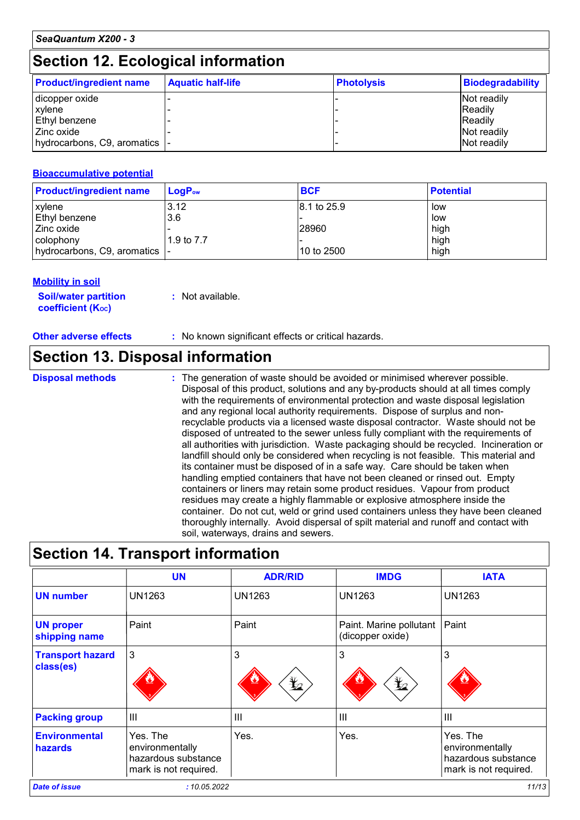### **Section 12. Ecological information**

| <b>Product/ingredient name</b> | <b>Aquatic half-life</b> | <b>Photolysis</b> | <b>Biodegradability</b> |
|--------------------------------|--------------------------|-------------------|-------------------------|
| dicopper oxide                 |                          |                   | Not readily             |
| <b>xylene</b>                  |                          |                   | <b>Readily</b>          |
| <b>Ethyl benzene</b>           |                          |                   | <b>Readily</b>          |
| l Zinc oxide                   |                          |                   | Not readily             |
| hydrocarbons, C9, aromatics  - |                          |                   | Not readily             |

#### **Bioaccumulative potential**

| <b>Product/ingredient name</b> | LoaP <sub>ow</sub> | <b>BCF</b>  | <b>Potential</b> |
|--------------------------------|--------------------|-------------|------------------|
| xylene                         | 3.12               | 8.1 to 25.9 | low              |
| Ethyl benzene                  | 3.6                |             | low              |
| l Zinc oxide                   |                    | 28960       | high             |
| colophony                      | 1.9 to 7.7         |             | high             |
| │hydrocarbons, C9, aromatics │ |                    | 10 to 2500  | high             |

#### **Mobility in soil**

| <b>Soil/water partition</b> | : Not available. |
|-----------------------------|------------------|
| <b>coefficient (Koc)</b>    |                  |

**Other adverse effects :** No known significant effects or critical hazards.

### **Section 13. Disposal information**

**Disposal methods :**

The generation of waste should be avoided or minimised wherever possible. Disposal of this product, solutions and any by-products should at all times comply with the requirements of environmental protection and waste disposal legislation and any regional local authority requirements. Dispose of surplus and nonrecyclable products via a licensed waste disposal contractor. Waste should not be disposed of untreated to the sewer unless fully compliant with the requirements of all authorities with jurisdiction. Waste packaging should be recycled. Incineration or landfill should only be considered when recycling is not feasible. This material and its container must be disposed of in a safe way. Care should be taken when handling emptied containers that have not been cleaned or rinsed out. Empty containers or liners may retain some product residues. Vapour from product residues may create a highly flammable or explosive atmosphere inside the container. Do not cut, weld or grind used containers unless they have been cleaned thoroughly internally. Avoid dispersal of spilt material and runoff and contact with soil, waterways, drains and sewers.

## **Section 14. Transport information**

|                                      | <b>UN</b>                                                                   | <b>ADR/RID</b>      | <b>IMDG</b>                                 | <b>IATA</b>                                                                 |
|--------------------------------------|-----------------------------------------------------------------------------|---------------------|---------------------------------------------|-----------------------------------------------------------------------------|
| <b>UN number</b>                     | <b>UN1263</b>                                                               | UN1263              | UN1263                                      | <b>UN1263</b>                                                               |
| <b>UN proper</b><br>shipping name    | Paint                                                                       | Paint               | Paint. Marine pollutant<br>(dicopper oxide) | Paint                                                                       |
| <b>Transport hazard</b><br>class(es) | 3                                                                           | 3<br>$\mathbf{Y}_2$ | 3<br>晢                                      | 3                                                                           |
| <b>Packing group</b>                 | $\mathbf{III}$                                                              | $\mathbf{III}$      | III                                         | $\mathbf{III}$                                                              |
| <b>Environmental</b><br>hazards      | Yes. The<br>environmentally<br>hazardous substance<br>mark is not required. | Yes.                | Yes.                                        | Yes. The<br>environmentally<br>hazardous substance<br>mark is not required. |
| <b>Date of issue</b>                 | : 10.05.2022                                                                |                     |                                             | 11/13                                                                       |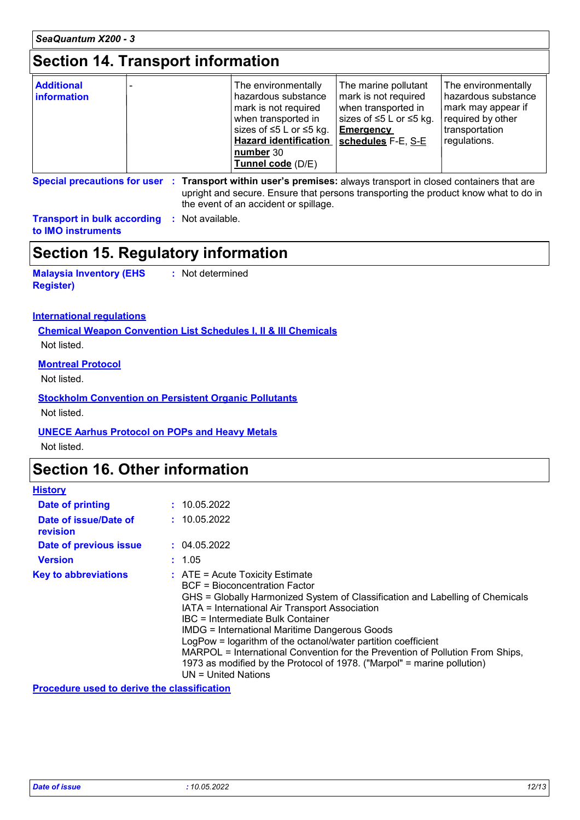### **Section 14. Transport information**

| <b>Additional</b><br><b>information</b> | The environmentally<br>hazardous substance<br>mark is not required<br>when transported in<br>sizes of $\leq$ 5 L or $\leq$ 5 kg.<br><b>Hazard identification</b><br>number 30<br>Tunnel code (D/E) | The marine pollutant<br>mark is not required<br>when transported in<br>sizes of $\leq$ 5 L or $\leq$ 5 kg.<br><b>Emergency</b><br>schedules F-E, S-E | The environmentally<br>l hazardous substance<br>mark may appear if<br>required by other<br>transportation<br>regulations. |
|-----------------------------------------|----------------------------------------------------------------------------------------------------------------------------------------------------------------------------------------------------|------------------------------------------------------------------------------------------------------------------------------------------------------|---------------------------------------------------------------------------------------------------------------------------|
|-----------------------------------------|----------------------------------------------------------------------------------------------------------------------------------------------------------------------------------------------------|------------------------------------------------------------------------------------------------------------------------------------------------------|---------------------------------------------------------------------------------------------------------------------------|

**Special precautions for user Transport within user's premises:** always transport in closed containers that are **:** upright and secure. Ensure that persons transporting the product know what to do in the event of an accident or spillage.

**Transport in bulk according :** Not available. **to IMO instruments**

### **Section 15. Regulatory information**

**Malaysia Inventory (EHS Register) :** Not determined

#### **International regulations**

**Chemical Weapon Convention List Schedules I, II & III Chemicals** Not listed.

#### **Montreal Protocol**

Not listed.

#### **Stockholm Convention on Persistent Organic Pollutants**

Not listed.

#### **UNECE Aarhus Protocol on POPs and Heavy Metals**

Not listed.

### **Section 16. Other information**

| <b>History</b>                    |                                                                                                                                                                                                                                                                                                                                                                                                                                                                                                                                                                        |
|-----------------------------------|------------------------------------------------------------------------------------------------------------------------------------------------------------------------------------------------------------------------------------------------------------------------------------------------------------------------------------------------------------------------------------------------------------------------------------------------------------------------------------------------------------------------------------------------------------------------|
| Date of printing                  | : 10.05.2022                                                                                                                                                                                                                                                                                                                                                                                                                                                                                                                                                           |
| Date of issue/Date of<br>revision | : 10.05.2022                                                                                                                                                                                                                                                                                                                                                                                                                                                                                                                                                           |
| Date of previous issue            | : 04.05.2022                                                                                                                                                                                                                                                                                                                                                                                                                                                                                                                                                           |
| <b>Version</b>                    | : 1.05                                                                                                                                                                                                                                                                                                                                                                                                                                                                                                                                                                 |
| <b>Key to abbreviations</b>       | $\therefore$ ATE = Acute Toxicity Estimate<br><b>BCF</b> = Bioconcentration Factor<br>GHS = Globally Harmonized System of Classification and Labelling of Chemicals<br>IATA = International Air Transport Association<br>IBC = Intermediate Bulk Container<br><b>IMDG = International Maritime Dangerous Goods</b><br>LogPow = logarithm of the octanol/water partition coefficient<br>MARPOL = International Convention for the Prevention of Pollution From Ships,<br>1973 as modified by the Protocol of 1978. ("Marpol" = marine pollution)<br>UN = United Nations |

**Procedure used to derive the classification**